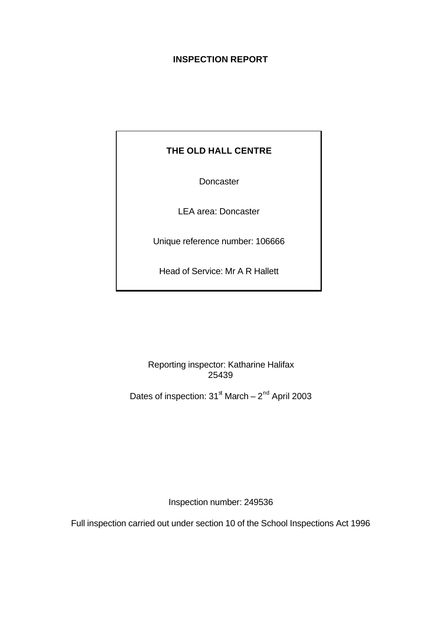# **INSPECTION REPORT**

# **THE OLD HALL CENTRE**

Doncaster

LEA area: Doncaster

Unique reference number: 106666

Head of Service: Mr A R Hallett

Reporting inspector: Katharine Halifax 25439

Dates of inspection:  $31^{\text{st}}$  March  $-2^{\text{nd}}$  April 2003

Inspection number: 249536

Full inspection carried out under section 10 of the School Inspections Act 1996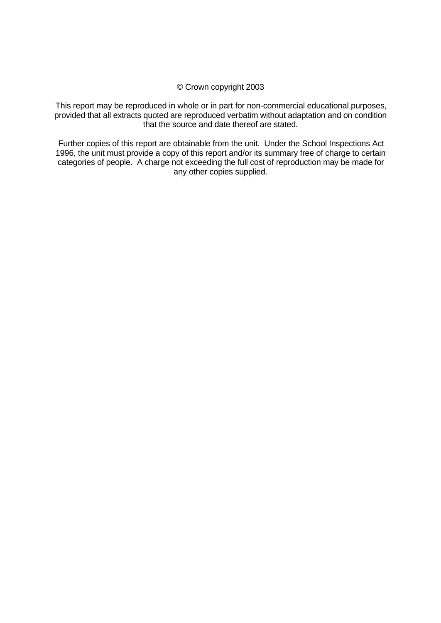## © Crown copyright 2003

This report may be reproduced in whole or in part for non-commercial educational purposes, provided that all extracts quoted are reproduced verbatim without adaptation and on condition that the source and date thereof are stated.

Further copies of this report are obtainable from the unit. Under the School Inspections Act 1996, the unit must provide a copy of this report and/or its summary free of charge to certain categories of people. A charge not exceeding the full cost of reproduction may be made for any other copies supplied.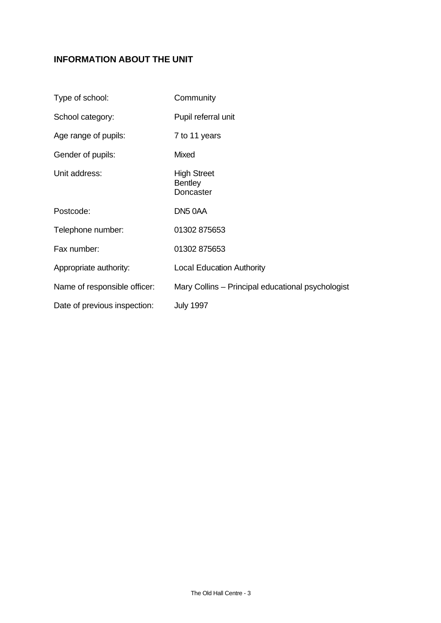# **INFORMATION ABOUT THE UNIT**

| Type of school:              | Community                                         |
|------------------------------|---------------------------------------------------|
| School category:             | Pupil referral unit                               |
| Age range of pupils:         | 7 to 11 years                                     |
| Gender of pupils:            | Mixed                                             |
| Unit address:                | <b>High Street</b><br><b>Bentley</b><br>Doncaster |
| Postcode:                    | DN5 0AA                                           |
| Telephone number:            | 01302 875653                                      |
| Fax number:                  | 01302 875653                                      |
| Appropriate authority:       | <b>Local Education Authority</b>                  |
| Name of responsible officer: | Mary Collins - Principal educational psychologist |
| Date of previous inspection: | <b>July 1997</b>                                  |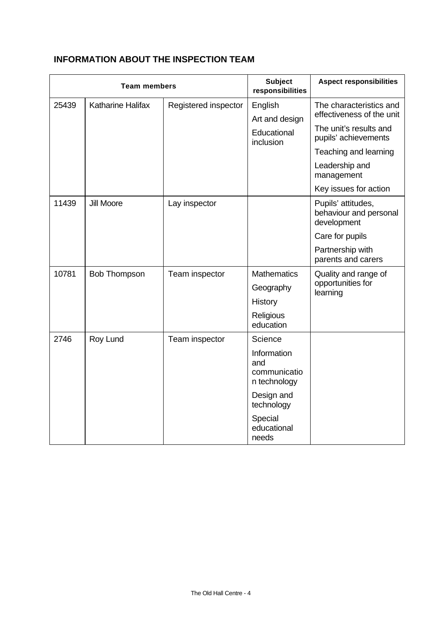# **INFORMATION ABOUT THE INSPECTION TEAM**

| <b>Team members</b> |                          | <b>Subject</b><br>responsibilities | <b>Aspect responsibilities</b>                     |                                                             |
|---------------------|--------------------------|------------------------------------|----------------------------------------------------|-------------------------------------------------------------|
| 25439               | <b>Katharine Halifax</b> | Registered inspector               | English<br>Art and design                          | The characteristics and<br>effectiveness of the unit        |
|                     |                          |                                    | Educational<br>inclusion                           | The unit's results and<br>pupils' achievements              |
|                     |                          |                                    |                                                    | Teaching and learning                                       |
|                     |                          |                                    |                                                    | Leadership and<br>management                                |
|                     |                          |                                    |                                                    | Key issues for action                                       |
| 11439               | <b>Jill Moore</b>        | Lay inspector                      |                                                    | Pupils' attitudes,<br>behaviour and personal<br>development |
|                     |                          |                                    |                                                    | Care for pupils                                             |
|                     |                          |                                    |                                                    | Partnership with<br>parents and carers                      |
| 10781               | <b>Bob Thompson</b>      | Team inspector                     | <b>Mathematics</b>                                 | Quality and range of                                        |
|                     |                          |                                    | Geography                                          | opportunities for<br>learning                               |
|                     |                          |                                    | <b>History</b>                                     |                                                             |
|                     |                          |                                    | Religious<br>education                             |                                                             |
| 2746                | Roy Lund                 | Team inspector                     | Science                                            |                                                             |
|                     |                          |                                    | Information<br>and<br>communicatio<br>n technology |                                                             |
|                     |                          |                                    | Design and<br>technology                           |                                                             |
|                     |                          |                                    | Special<br>educational<br>needs                    |                                                             |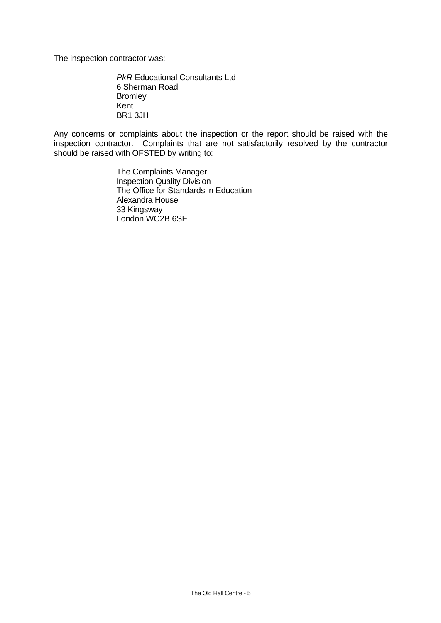The inspection contractor was:

*PkR* Educational Consultants Ltd 6 Sherman Road **Bromley** Kent BR1 3JH

Any concerns or complaints about the inspection or the report should be raised with the inspection contractor. Complaints that are not satisfactorily resolved by the contractor should be raised with OFSTED by writing to:

> The Complaints Manager Inspection Quality Division The Office for Standards in Education Alexandra House 33 Kingsway London WC2B 6SE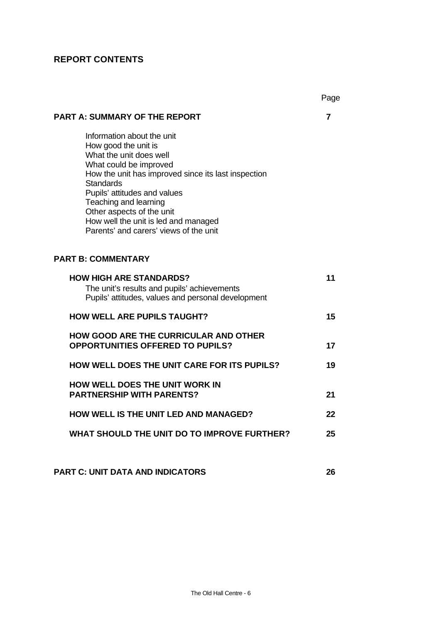# **REPORT CONTENTS**

|                                                                                                                                                                                                                                                                                                                                                            | Page |
|------------------------------------------------------------------------------------------------------------------------------------------------------------------------------------------------------------------------------------------------------------------------------------------------------------------------------------------------------------|------|
| <b>PART A: SUMMARY OF THE REPORT</b>                                                                                                                                                                                                                                                                                                                       | 7    |
| Information about the unit<br>How good the unit is<br>What the unit does well<br>What could be improved<br>How the unit has improved since its last inspection<br><b>Standards</b><br>Pupils' attitudes and values<br>Teaching and learning<br>Other aspects of the unit<br>How well the unit is led and managed<br>Parents' and carers' views of the unit |      |
| <b>PART B: COMMENTARY</b>                                                                                                                                                                                                                                                                                                                                  |      |
| <b>HOW HIGH ARE STANDARDS?</b><br>The unit's results and pupils' achievements<br>Pupils' attitudes, values and personal development                                                                                                                                                                                                                        | 11   |
| <b>HOW WELL ARE PUPILS TAUGHT?</b>                                                                                                                                                                                                                                                                                                                         | 15   |
| <b>HOW GOOD ARE THE CURRICULAR AND OTHER</b><br><b>OPPORTUNITIES OFFERED TO PUPILS?</b>                                                                                                                                                                                                                                                                    | 17   |
| <b>HOW WELL DOES THE UNIT CARE FOR ITS PUPILS?</b>                                                                                                                                                                                                                                                                                                         | 19   |
| <b>HOW WELL DOES THE UNIT WORK IN</b><br><b>PARTNERSHIP WITH PARENTS?</b>                                                                                                                                                                                                                                                                                  | 21   |
| <b>HOW WELL IS THE UNIT LED AND MANAGED?</b>                                                                                                                                                                                                                                                                                                               | 22   |
| WHAT SHOULD THE UNIT DO TO IMPROVE FURTHER?                                                                                                                                                                                                                                                                                                                | 25   |
|                                                                                                                                                                                                                                                                                                                                                            |      |
| <b>PART C: UNIT DATA AND INDICATORS</b>                                                                                                                                                                                                                                                                                                                    | 26   |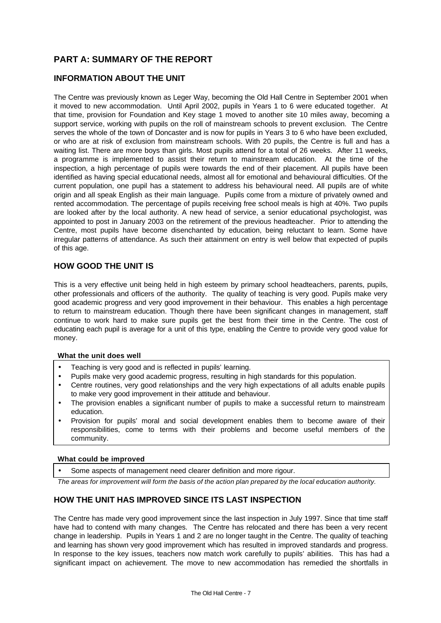# **PART A: SUMMARY OF THE REPORT**

## **INFORMATION ABOUT THE UNIT**

The Centre was previously known as Leger Way, becoming the Old Hall Centre in September 2001 when it moved to new accommodation. Until April 2002, pupils in Years 1 to 6 were educated together. At that time, provision for Foundation and Key stage 1 moved to another site 10 miles away, becoming a support service, working with pupils on the roll of mainstream schools to prevent exclusion. The Centre serves the whole of the town of Doncaster and is now for pupils in Years 3 to 6 who have been excluded, or who are at risk of exclusion from mainstream schools. With 20 pupils, the Centre is full and has a waiting list. There are more boys than girls. Most pupils attend for a total of 26 weeks. After 11 weeks, a programme is implemented to assist their return to mainstream education. At the time of the inspection, a high percentage of pupils were towards the end of their placement. All pupils have been identified as having special educational needs, almost all for emotional and behavioural difficulties. Of the current population, one pupil has a statement to address his behavioural need. All pupils are of white origin and all speak English as their main language. Pupils come from a mixture of privately owned and rented accommodation. The percentage of pupils receiving free school meals is high at 40%. Two pupils are looked after by the local authority. A new head of service, a senior educational psychologist, was appointed to post in January 2003 on the retirement of the previous headteacher. Prior to attending the Centre, most pupils have become disenchanted by education, being reluctant to learn. Some have irregular patterns of attendance. As such their attainment on entry is well below that expected of pupils of this age.

## **HOW GOOD THE UNIT IS**

This is a very effective unit being held in high esteem by primary school headteachers, parents, pupils, other professionals and officers of the authority. The quality of teaching is very good. Pupils make very good academic progress and very good improvement in their behaviour. This enables a high percentage to return to mainstream education. Though there have been significant changes in management, staff continue to work hard to make sure pupils get the best from their time in the Centre. The cost of educating each pupil is average for a unit of this type, enabling the Centre to provide very good value for money.

#### **What the unit does well**

- Teaching is very good and is reflected in pupils' learning.
- Pupils make very good academic progress, resulting in high standards for this population.
- Centre routines, very good relationships and the very high expectations of all adults enable pupils to make very good improvement in their attitude and behaviour.
- The provision enables a significant number of pupils to make a successful return to mainstream education.
- Provision for pupils' moral and social development enables them to become aware of their responsibilities, come to terms with their problems and become useful members of the community.

#### **What could be improved**

Some aspects of management need clearer definition and more rigour.

*The areas for improvement will form the basis of the action plan prepared by the local education authority.*

## **HOW THE UNIT HAS IMPROVED SINCE ITS LAST INSPECTION**

The Centre has made very good improvement since the last inspection in July 1997. Since that time staff have had to contend with many changes. The Centre has relocated and there has been a very recent change in leadership. Pupils in Years 1 and 2 are no longer taught in the Centre. The quality of teaching and learning has shown very good improvement which has resulted in improved standards and progress. In response to the key issues, teachers now match work carefully to pupils' abilities. This has had a significant impact on achievement. The move to new accommodation has remedied the shortfalls in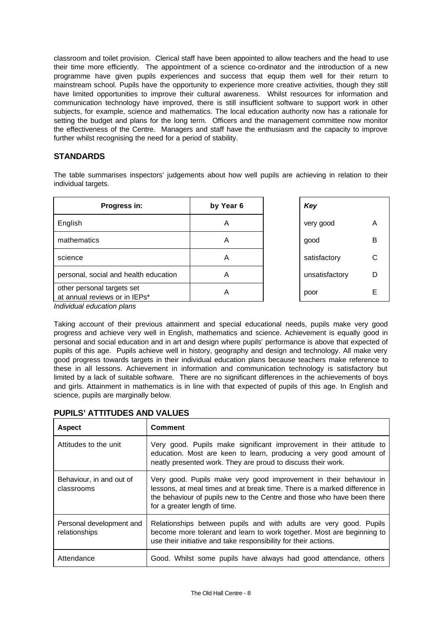classroom and toilet provision. Clerical staff have been appointed to allow teachers and the head to use their time more efficiently. The appointment of a science co-ordinator and the introduction of a new programme have given pupils experiences and success that equip them well for their return to mainstream school. Pupils have the opportunity to experience more creative activities, though they still have limited opportunities to improve their cultural awareness. Whilst resources for information and communication technology have improved, there is still insufficient software to support work in other subjects, for example, science and mathematics. The local education authority now has a rationale for setting the budget and plans for the long term. Officers and the management committee now monitor the effectiveness of the Centre. Managers and staff have the enthusiasm and the capacity to improve further whilst recognising the need for a period of stability.

## **STANDARDS**

The table summarises inspectors' judgements about how well pupils are achieving in relation to their individual targets.

| Progress in:                                                     | by Year 6 | Key            |   |
|------------------------------------------------------------------|-----------|----------------|---|
| English                                                          | A         | very good      | A |
| mathematics                                                      | A         | good           | В |
| science                                                          | A         | satisfactory   | С |
| personal, social and health education                            | A         | unsatisfactory | D |
| other personal targets set<br>at annual reviews or in IEPs*<br>. | Α         | poor           | E |

| Key            |   |
|----------------|---|
| very good      | А |
| good           | в |
| satisfactory   | C |
| unsatisfactory | D |
| poor           | F |

*Individual education plans*

Taking account of their previous attainment and special educational needs, pupils make very good progress and achieve very well in English, mathematics and science. Achievement is equally good in personal and social education and in art and design where pupils' performance is above that expected of pupils of this age. Pupils achieve well in history, geography and design and technology. All make very good progress towards targets in their individual education plans because teachers make reference to these in all lessons. Achievement in information and communication technology is satisfactory but limited by a lack of suitable software. There are no significant differences in the achievements of boys and girls. Attainment in mathematics is in line with that expected of pupils of this age. In English and science, pupils are marginally below.

| <b>Aspect</b>                             | <b>Comment</b>                                                                                                                                                                                                                                              |  |
|-------------------------------------------|-------------------------------------------------------------------------------------------------------------------------------------------------------------------------------------------------------------------------------------------------------------|--|
| Attitudes to the unit                     | Very good. Pupils make significant improvement in their attitude to<br>education. Most are keen to learn, producing a very good amount of<br>neatly presented work. They are proud to discuss their work.                                                   |  |
| Behaviour, in and out of<br>classrooms    | Very good. Pupils make very good improvement in their behaviour in<br>lessons, at meal times and at break time. There is a marked difference in<br>the behaviour of pupils new to the Centre and those who have been there<br>for a greater length of time. |  |
| Personal development and<br>relationships | Relationships between pupils and with adults are very good. Pupils<br>become more tolerant and learn to work together. Most are beginning to<br>use their initiative and take responsibility for their actions.                                             |  |
| Attendance                                | Good. Whilst some pupils have always had good attendance, others                                                                                                                                                                                            |  |

## **PUPILS' ATTITUDES AND VALUES**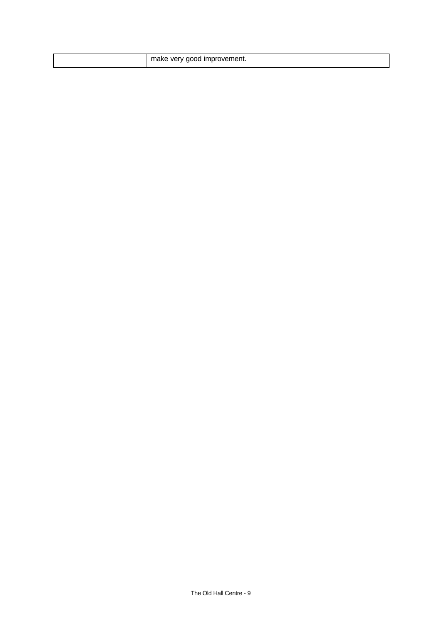| m<br><b>Very</b><br>improvement.<br>ור ז<br>m |
|-----------------------------------------------|
|-----------------------------------------------|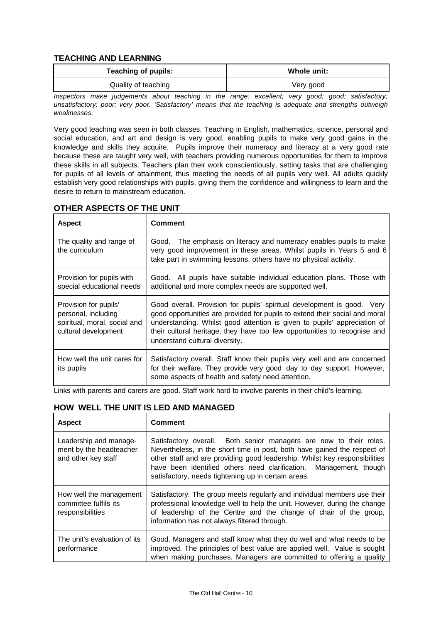## **TEACHING AND LEARNING**

| Whole unit: |  |
|-------------|--|
| Very good   |  |
|             |  |

*Inspectors make judgements about teaching in the range: excellent; very good; good; satisfactory; unsatisfactory; poor; very poor. 'Satisfactory' means that the teaching is adequate and strengths outweigh weaknesses.*

Very good teaching was seen in both classes. Teaching in English, mathematics, science, personal and social education, and art and design is very good, enabling pupils to make very good gains in the knowledge and skills they acquire. Pupils improve their numeracy and literacy at a very good rate because these are taught very well, with teachers providing numerous opportunities for them to improve these skills in all subjects. Teachers plan their work conscientiously, setting tasks that are challenging for pupils of all levels of attainment, thus meeting the needs of all pupils very well. All adults quickly establish very good relationships with pupils, giving them the confidence and willingness to learn and the desire to return to mainstream education.

| <b>Aspect</b>                                                                                        | <b>Comment</b>                                                                                                                                                                                                                                                                                                                                    |  |
|------------------------------------------------------------------------------------------------------|---------------------------------------------------------------------------------------------------------------------------------------------------------------------------------------------------------------------------------------------------------------------------------------------------------------------------------------------------|--|
| The quality and range of<br>the curriculum                                                           | Good. The emphasis on literacy and numeracy enables pupils to make<br>very good improvement in these areas. Whilst pupils in Years 5 and 6<br>take part in swimming lessons, others have no physical activity.                                                                                                                                    |  |
| Provision for pupils with<br>special educational needs                                               | Good. All pupils have suitable individual education plans. Those with<br>additional and more complex needs are supported well.                                                                                                                                                                                                                    |  |
| Provision for pupils'<br>personal, including<br>spiritual, moral, social and<br>cultural development | Good overall. Provision for pupils' spiritual development is good. Very<br>good opportunities are provided for pupils to extend their social and moral<br>understanding. Whilst good attention is given to pupils' appreciation of<br>their cultural heritage, they have too few opportunities to recognise and<br>understand cultural diversity. |  |
| How well the unit cares for<br>its pupils                                                            | Satisfactory overall. Staff know their pupils very well and are concerned<br>for their welfare. They provide very good day to day support. However,<br>some aspects of health and safety need attention.                                                                                                                                          |  |

# **OTHER ASPECTS OF THE UNIT**

Links with parents and carers are good. Staff work hard to involve parents in their child's learning.

## **HOW WELL THE UNIT IS LED AND MANAGED**

| <b>Aspect</b>                                                            | <b>Comment</b>                                                                                                                                                                                                                                                                                                                                            |  |
|--------------------------------------------------------------------------|-----------------------------------------------------------------------------------------------------------------------------------------------------------------------------------------------------------------------------------------------------------------------------------------------------------------------------------------------------------|--|
| Leadership and manage-<br>ment by the headteacher<br>and other key staff | Satisfactory overall. Both senior managers are new to their roles.<br>Nevertheless, in the short time in post, both have gained the respect of<br>other staff and are providing good leadership. Whilst key responsibilities<br>have been identified others need clarification. Management, though<br>satisfactory, needs tightening up in certain areas. |  |
| How well the management<br>committee fulfils its<br>responsibilities     | Satisfactory. The group meets regularly and individual members use their<br>professional knowledge well to help the unit. However, during the change<br>of leadership of the Centre and the change of chair of the group,<br>information has not always filtered through.                                                                                 |  |
| The unit's evaluation of its<br>performance                              | Good. Managers and staff know what they do well and what needs to be<br>improved. The principles of best value are applied well. Value is sought<br>when making purchases. Managers are committed to offering a quality                                                                                                                                   |  |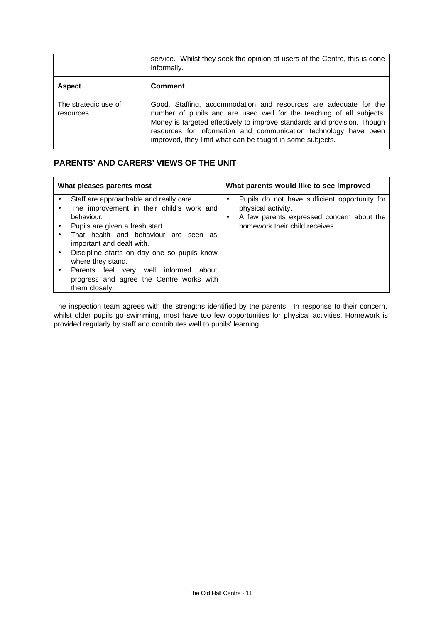|                                   | service. Whilst they seek the opinion of users of the Centre, this is done<br>informally.                                                                                                                                                                                                                                                             |  |  |
|-----------------------------------|-------------------------------------------------------------------------------------------------------------------------------------------------------------------------------------------------------------------------------------------------------------------------------------------------------------------------------------------------------|--|--|
| <b>Aspect</b>                     | <b>Comment</b>                                                                                                                                                                                                                                                                                                                                        |  |  |
| The strategic use of<br>resources | Good. Staffing, accommodation and resources are adequate for the<br>number of pupils and are used well for the teaching of all subjects.<br>Money is targeted effectively to improve standards and provision. Though<br>resources for information and communication technology have been<br>improved, they limit what can be taught in some subjects. |  |  |

## **PARENTS' AND CARERS' VIEWS OF THE UNIT**

| What pleases parents most                                                                          |                                                                                                                                                                                                                                                                                       | What parents would like to see improved |                                                                                                                                                    |  |
|----------------------------------------------------------------------------------------------------|---------------------------------------------------------------------------------------------------------------------------------------------------------------------------------------------------------------------------------------------------------------------------------------|-----------------------------------------|----------------------------------------------------------------------------------------------------------------------------------------------------|--|
| behaviour.<br>important and dealt with.<br>where they stand.<br>Parents feel very<br>them closely. | Staff are approachable and really care.<br>The improvement in their child's work and<br>Pupils are given a fresh start.<br>That health and behaviour are seen as<br>Discipline starts on day one so pupils know<br>well informed<br>about<br>progress and agree the Centre works with | $\bullet$<br>$\bullet$                  | Pupils do not have sufficient opportunity for<br>physical activity.<br>A few parents expressed concern about the<br>homework their child receives. |  |

The inspection team agrees with the strengths identified by the parents. In response to their concern, whilst older pupils go swimming, most have too few opportunities for physical activities. Homework is provided regularly by staff and contributes well to pupils' learning.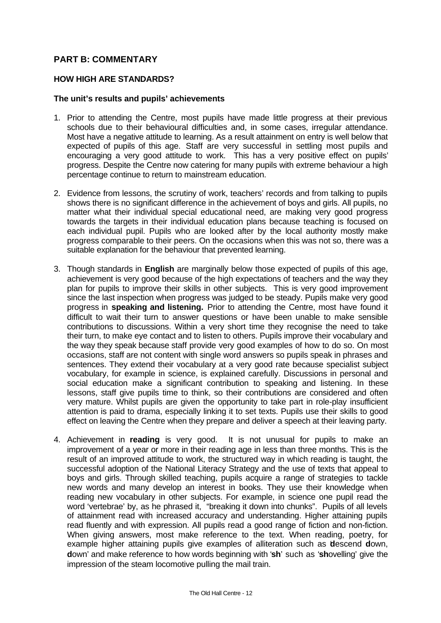## **PART B: COMMENTARY**

#### **HOW HIGH ARE STANDARDS?**

#### **The unit's results and pupils' achievements**

- 1. Prior to attending the Centre, most pupils have made little progress at their previous schools due to their behavioural difficulties and, in some cases, irregular attendance. Most have a negative attitude to learning. As a result attainment on entry is well below that expected of pupils of this age. Staff are very successful in settling most pupils and encouraging a very good attitude to work. This has a very positive effect on pupils' progress. Despite the Centre now catering for many pupils with extreme behaviour a high percentage continue to return to mainstream education.
- 2. Evidence from lessons, the scrutiny of work, teachers' records and from talking to pupils shows there is no significant difference in the achievement of boys and girls. All pupils, no matter what their individual special educational need, are making very good progress towards the targets in their individual education plans because teaching is focused on each individual pupil. Pupils who are looked after by the local authority mostly make progress comparable to their peers. On the occasions when this was not so, there was a suitable explanation for the behaviour that prevented learning.
- 3. Though standards in **English** are marginally below those expected of pupils of this age, achievement is very good because of the high expectations of teachers and the way they plan for pupils to improve their skills in other subjects. This is very good improvement since the last inspection when progress was judged to be steady. Pupils make very good progress in **speaking and listening.** Prior to attending the Centre, most have found it difficult to wait their turn to answer questions or have been unable to make sensible contributions to discussions. Within a very short time they recognise the need to take their turn, to make eye contact and to listen to others. Pupils improve their vocabulary and the way they speak because staff provide very good examples of how to do so. On most occasions, staff are not content with single word answers so pupils speak in phrases and sentences. They extend their vocabulary at a very good rate because specialist subject vocabulary, for example in science, is explained carefully. Discussions in personal and social education make a significant contribution to speaking and listening. In these lessons, staff give pupils time to think, so their contributions are considered and often very mature. Whilst pupils are given the opportunity to take part in role-play insufficient attention is paid to drama, especially linking it to set texts. Pupils use their skills to good effect on leaving the Centre when they prepare and deliver a speech at their leaving party.
- 4. Achievement in **reading** is very good. It is not unusual for pupils to make an improvement of a year or more in their reading age in less than three months. This is the result of an improved attitude to work, the structured way in which reading is taught, the successful adoption of the National Literacy Strategy and the use of texts that appeal to boys and girls. Through skilled teaching, pupils acquire a range of strategies to tackle new words and many develop an interest in books. They use their knowledge when reading new vocabulary in other subjects. For example, in science one pupil read the word 'vertebrae' by, as he phrased it, "breaking it down into chunks". Pupils of all levels of attainment read with increased accuracy and understanding. Higher attaining pupils read fluently and with expression. All pupils read a good range of fiction and non-fiction. When giving answers, most make reference to the text. When reading, poetry, for example higher attaining pupils give examples of alliteration such as '**d**escend **d**own, **d**own' and make reference to how words beginning with '**sh**' such as '**sh**ovelling' give the impression of the steam locomotive pulling the mail train.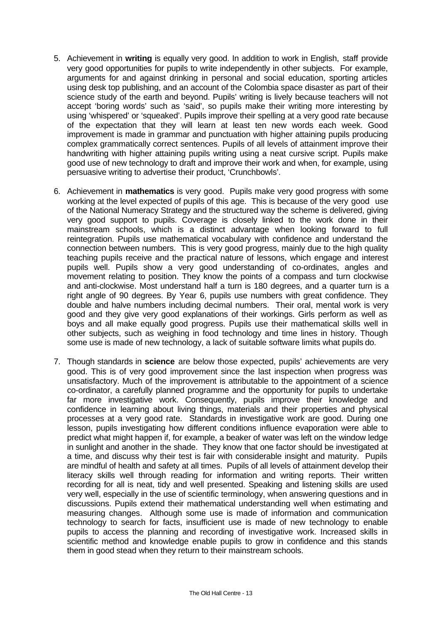- 5. Achievement in **writing** is equally very good. In addition to work in English, staff provide very good opportunities for pupils to write independently in other subjects. For example, arguments for and against drinking in personal and social education, sporting articles using desk top publishing, and an account of the Colombia space disaster as part of their science study of the earth and beyond. Pupils' writing is lively because teachers will not accept 'boring words' such as 'said', so pupils make their writing more interesting by using 'whispered' or 'squeaked'. Pupils improve their spelling at a very good rate because of the expectation that they will learn at least ten new words each week. Good improvement is made in grammar and punctuation with higher attaining pupils producing complex grammatically correct sentences. Pupils of all levels of attainment improve their handwriting with higher attaining pupils writing using a neat cursive script. Pupils make good use of new technology to draft and improve their work and when, for example, using persuasive writing to advertise their product, 'Crunchbowls'.
- 6. Achievement in **mathematics** is very good. Pupils make very good progress with some working at the level expected of pupils of this age. This is because of the very good use of the National Numeracy Strategy and the structured way the scheme is delivered, giving very good support to pupils. Coverage is closely linked to the work done in their mainstream schools, which is a distinct advantage when looking forward to full reintegration. Pupils use mathematical vocabulary with confidence and understand the connection between numbers. This is very good progress, mainly due to the high quality teaching pupils receive and the practical nature of lessons, which engage and interest pupils well. Pupils show a very good understanding of co-ordinates, angles and movement relating to position. They know the points of a compass and turn clockwise and anti-clockwise. Most understand half a turn is 180 degrees, and a quarter turn is a right angle of 90 degrees. By Year 6, pupils use numbers with great confidence. They double and halve numbers including decimal numbers. Their oral, mental work is very good and they give very good explanations of their workings. Girls perform as well as boys and all make equally good progress. Pupils use their mathematical skills well in other subjects, such as weighing in food technology and time lines in history. Though some use is made of new technology, a lack of suitable software limits what pupils do.
- 7. Though standards in **science** are below those expected, pupils' achievements are very good. This is of very good improvement since the last inspection when progress was unsatisfactory. Much of the improvement is attributable to the appointment of a science co-ordinator, a carefully planned programme and the opportunity for pupils to undertake far more investigative work. Consequently, pupils improve their knowledge and confidence in learning about living things, materials and their properties and physical processes at a very good rate. Standards in investigative work are good. During one lesson, pupils investigating how different conditions influence evaporation were able to predict what might happen if, for example, a beaker of water was left on the window ledge in sunlight and another in the shade. They know that one factor should be investigated at a time, and discuss why their test is fair with considerable insight and maturity. Pupils are mindful of health and safety at all times. Pupils of all levels of attainment develop their literacy skills well through reading for information and writing reports. Their written recording for all is neat, tidy and well presented. Speaking and listening skills are used very well, especially in the use of scientific terminology, when answering questions and in discussions. Pupils extend their mathematical understanding well when estimating and measuring changes. Although some use is made of information and communication technology to search for facts, insufficient use is made of new technology to enable pupils to access the planning and recording of investigative work. Increased skills in scientific method and knowledge enable pupils to grow in confidence and this stands them in good stead when they return to their mainstream schools.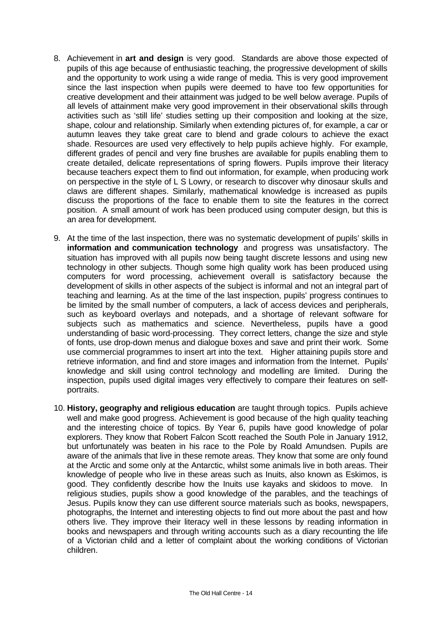- 8. Achievement in **art and design** is very good. Standards are above those expected of pupils of this age because of enthusiastic teaching, the progressive development of skills and the opportunity to work using a wide range of media. This is very good improvement since the last inspection when pupils were deemed to have too few opportunities for creative development and their attainment was judged to be well below average. Pupils of all levels of attainment make very good improvement in their observational skills through activities such as 'still life' studies setting up their composition and looking at the size, shape, colour and relationship. Similarly when extending pictures of, for example, a car or autumn leaves they take great care to blend and grade colours to achieve the exact shade. Resources are used very effectively to help pupils achieve highly. For example, different grades of pencil and very fine brushes are available for pupils enabling them to create detailed, delicate representations of spring flowers. Pupils improve their literacy because teachers expect them to find out information, for example, when producing work on perspective in the style of L S Lowry, or research to discover why dinosaur skulls and claws are different shapes. Similarly, mathematical knowledge is increased as pupils discuss the proportions of the face to enable them to site the features in the correct position. A small amount of work has been produced using computer design, but this is an area for development.
- 9. At the time of the last inspection, there was no systematic development of pupils' skills in **information and communication technology** and progress was unsatisfactory. The situation has improved with all pupils now being taught discrete lessons and using new technology in other subjects. Though some high quality work has been produced using computers for word processing, achievement overall is satisfactory because the development of skills in other aspects of the subject is informal and not an integral part of teaching and learning. As at the time of the last inspection, pupils' progress continues to be limited by the small number of computers, a lack of access devices and peripherals, such as keyboard overlays and notepads, and a shortage of relevant software for subjects such as mathematics and science. Nevertheless, pupils have a good understanding of basic word-processing. They correct letters, change the size and style of fonts, use drop-down menus and dialogue boxes and save and print their work. Some use commercial programmes to insert art into the text. Higher attaining pupils store and retrieve information, and find and store images and information from the Internet. Pupils' knowledge and skill using control technology and modelling are limited. During the inspection, pupils used digital images very effectively to compare their features on selfportraits.
- 10. **History, geography and religious education** are taught through topics. Pupils achieve well and make good progress. Achievement is good because of the high quality teaching and the interesting choice of topics. By Year 6, pupils have good knowledge of polar explorers. They know that Robert Falcon Scott reached the South Pole in January 1912, but unfortunately was beaten in his race to the Pole by Roald Amundsen. Pupils are aware of the animals that live in these remote areas. They know that some are only found at the Arctic and some only at the Antarctic, whilst some animals live in both areas. Their knowledge of people who live in these areas such as Inuits, also known as Eskimos, is good. They confidently describe how the Inuits use kayaks and skidoos to move. In religious studies, pupils show a good knowledge of the parables, and the teachings of Jesus. Pupils know they can use different source materials such as books, newspapers, photographs, the Internet and interesting objects to find out more about the past and how others live. They improve their literacy well in these lessons by reading information in books and newspapers and through writing accounts such as a diary recounting the life of a Victorian child and a letter of complaint about the working conditions of Victorian children.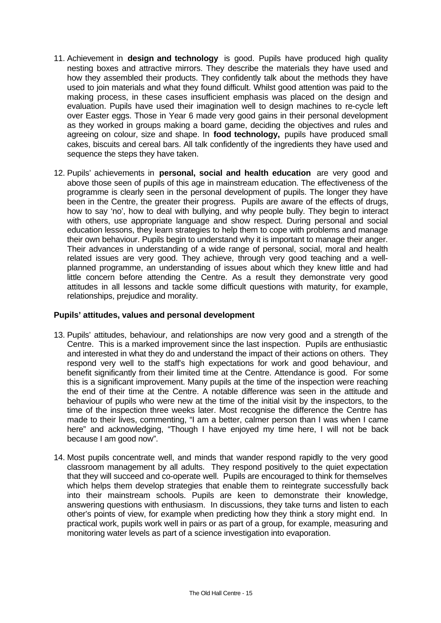- 11. Achievement in **design and technology** is good. Pupils have produced high quality nesting boxes and attractive mirrors. They describe the materials they have used and how they assembled their products. They confidently talk about the methods they have used to join materials and what they found difficult. Whilst good attention was paid to the making process, in these cases insufficient emphasis was placed on the design and evaluation. Pupils have used their imagination well to design machines to re-cycle left over Easter eggs. Those in Year 6 made very good gains in their personal development as they worked in groups making a board game, deciding the objectives and rules and agreeing on colour, size and shape. In **food technology,** pupils have produced small cakes, biscuits and cereal bars. All talk confidently of the ingredients they have used and sequence the steps they have taken.
- 12. Pupils' achievements in **personal, social and health education** are very good and above those seen of pupils of this age in mainstream education. The effectiveness of the programme is clearly seen in the personal development of pupils. The longer they have been in the Centre, the greater their progress. Pupils are aware of the effects of drugs, how to say 'no', how to deal with bullying, and why people bully. They begin to interact with others, use appropriate language and show respect. During personal and social education lessons, they learn strategies to help them to cope with problems and manage their own behaviour. Pupils begin to understand why it is important to manage their anger. Their advances in understanding of a wide range of personal, social, moral and health related issues are very good. They achieve, through very good teaching and a wellplanned programme, an understanding of issues about which they knew little and had little concern before attending the Centre. As a result they demonstrate very good attitudes in all lessons and tackle some difficult questions with maturity, for example, relationships, prejudice and morality.

## **Pupils' attitudes, values and personal development**

- 13. Pupils' attitudes, behaviour, and relationships are now very good and a strength of the Centre. This is a marked improvement since the last inspection. Pupils are enthusiastic and interested in what they do and understand the impact of their actions on others. They respond very well to the staff's high expectations for work and good behaviour, and benefit significantly from their limited time at the Centre. Attendance is good. For some this is a significant improvement. Many pupils at the time of the inspection were reaching the end of their time at the Centre. A notable difference was seen in the attitude and behaviour of pupils who were new at the time of the initial visit by the inspectors, to the time of the inspection three weeks later. Most recognise the difference the Centre has made to their lives, commenting, "I am a better, calmer person than I was when I came here" and acknowledging, "Though I have enjoyed my time here, I will not be back because I am good now".
- 14. Most pupils concentrate well, and minds that wander respond rapidly to the very good classroom management by all adults. They respond positively to the quiet expectation that they will succeed and co-operate well. Pupils are encouraged to think for themselves which helps them develop strategies that enable them to reintegrate successfully back into their mainstream schools. Pupils are keen to demonstrate their knowledge, answering questions with enthusiasm. In discussions, they take turns and listen to each other's points of view, for example when predicting how they think a story might end. In practical work, pupils work well in pairs or as part of a group, for example, measuring and monitoring water levels as part of a science investigation into evaporation.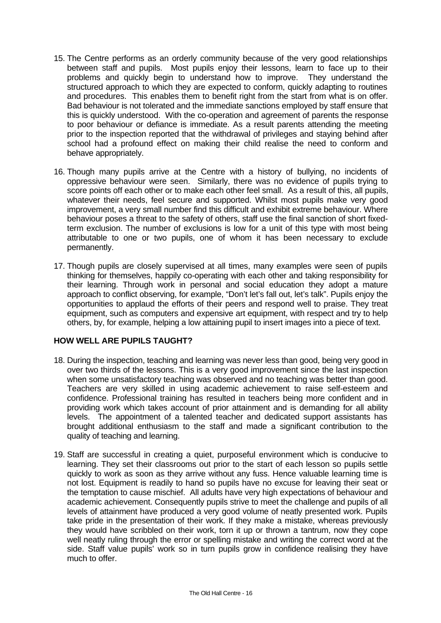- 15. The Centre performs as an orderly community because of the very good relationships between staff and pupils. Most pupils enjoy their lessons, learn to face up to their problems and quickly begin to understand how to improve. They understand the structured approach to which they are expected to conform, quickly adapting to routines and procedures. This enables them to benefit right from the start from what is on offer. Bad behaviour is not tolerated and the immediate sanctions employed by staff ensure that this is quickly understood. With the co-operation and agreement of parents the response to poor behaviour or defiance is immediate. As a result parents attending the meeting prior to the inspection reported that the withdrawal of privileges and staying behind after school had a profound effect on making their child realise the need to conform and behave appropriately.
- 16. Though many pupils arrive at the Centre with a history of bullying, no incidents of oppressive behaviour were seen. Similarly, there was no evidence of pupils trying to score points off each other or to make each other feel small. As a result of this, all pupils, whatever their needs, feel secure and supported. Whilst most pupils make very good improvement, a very small number find this difficult and exhibit extreme behaviour. Where behaviour poses a threat to the safety of others, staff use the final sanction of short fixedterm exclusion. The number of exclusions is low for a unit of this type with most being attributable to one or two pupils, one of whom it has been necessary to exclude permanently.
- 17. Though pupils are closely supervised at all times, many examples were seen of pupils thinking for themselves, happily co-operating with each other and taking responsibility for their learning. Through work in personal and social education they adopt a mature approach to conflict observing, for example, "Don't let's fall out, let's talk". Pupils enjoy the opportunities to applaud the efforts of their peers and respond well to praise. They treat equipment, such as computers and expensive art equipment, with respect and try to help others, by, for example, helping a low attaining pupil to insert images into a piece of text.

## **HOW WELL ARE PUPILS TAUGHT?**

- 18. During the inspection, teaching and learning was never less than good, being very good in over two thirds of the lessons. This is a very good improvement since the last inspection when some unsatisfactory teaching was observed and no teaching was better than good. Teachers are very skilled in using academic achievement to raise self-esteem and confidence. Professional training has resulted in teachers being more confident and in providing work which takes account of prior attainment and is demanding for all ability levels. The appointment of a talented teacher and dedicated support assistants has brought additional enthusiasm to the staff and made a significant contribution to the quality of teaching and learning.
- 19. Staff are successful in creating a quiet, purposeful environment which is conducive to learning. They set their classrooms out prior to the start of each lesson so pupils settle quickly to work as soon as they arrive without any fuss. Hence valuable learning time is not lost. Equipment is readily to hand so pupils have no excuse for leaving their seat or the temptation to cause mischief. All adults have very high expectations of behaviour and academic achievement. Consequently pupils strive to meet the challenge and pupils of all levels of attainment have produced a very good volume of neatly presented work. Pupils take pride in the presentation of their work. If they make a mistake, whereas previously they would have scribbled on their work, torn it up or thrown a tantrum, now they cope well neatly ruling through the error or spelling mistake and writing the correct word at the side. Staff value pupils' work so in turn pupils grow in confidence realising they have much to offer.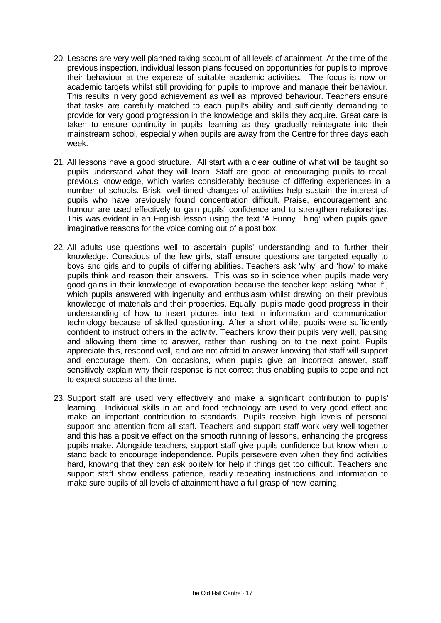- 20. Lessons are very well planned taking account of all levels of attainment. At the time of the previous inspection, individual lesson plans focused on opportunities for pupils to improve their behaviour at the expense of suitable academic activities. The focus is now on academic targets whilst still providing for pupils to improve and manage their behaviour. This results in very good achievement as well as improved behaviour. Teachers ensure that tasks are carefully matched to each pupil's ability and sufficiently demanding to provide for very good progression in the knowledge and skills they acquire. Great care is taken to ensure continuity in pupils' learning as they gradually reintegrate into their mainstream school, especially when pupils are away from the Centre for three days each week.
- 21. All lessons have a good structure. All start with a clear outline of what will be taught so pupils understand what they will learn. Staff are good at encouraging pupils to recall previous knowledge, which varies considerably because of differing experiences in a number of schools. Brisk, well-timed changes of activities help sustain the interest of pupils who have previously found concentration difficult. Praise, encouragement and humour are used effectively to gain pupils' confidence and to strengthen relationships. This was evident in an English lesson using the text 'A Funny Thing' when pupils gave imaginative reasons for the voice coming out of a post box.
- 22. All adults use questions well to ascertain pupils' understanding and to further their knowledge. Conscious of the few girls, staff ensure questions are targeted equally to boys and girls and to pupils of differing abilities. Teachers ask 'why' and 'how' to make pupils think and reason their answers. This was so in science when pupils made very good gains in their knowledge of evaporation because the teacher kept asking "what if", which pupils answered with ingenuity and enthusiasm whilst drawing on their previous knowledge of materials and their properties. Equally, pupils made good progress in their understanding of how to insert pictures into text in information and communication technology because of skilled questioning. After a short while, pupils were sufficiently confident to instruct others in the activity. Teachers know their pupils very well, pausing and allowing them time to answer, rather than rushing on to the next point. Pupils appreciate this, respond well, and are not afraid to answer knowing that staff will support and encourage them. On occasions, when pupils give an incorrect answer, staff sensitively explain why their response is not correct thus enabling pupils to cope and not to expect success all the time.
- 23. Support staff are used very effectively and make a significant contribution to pupils' learning. Individual skills in art and food technology are used to very good effect and make an important contribution to standards. Pupils receive high levels of personal support and attention from all staff. Teachers and support staff work very well together and this has a positive effect on the smooth running of lessons, enhancing the progress pupils make. Alongside teachers, support staff give pupils confidence but know when to stand back to encourage independence. Pupils persevere even when they find activities hard, knowing that they can ask politely for help if things get too difficult. Teachers and support staff show endless patience, readily repeating instructions and information to make sure pupils of all levels of attainment have a full grasp of new learning.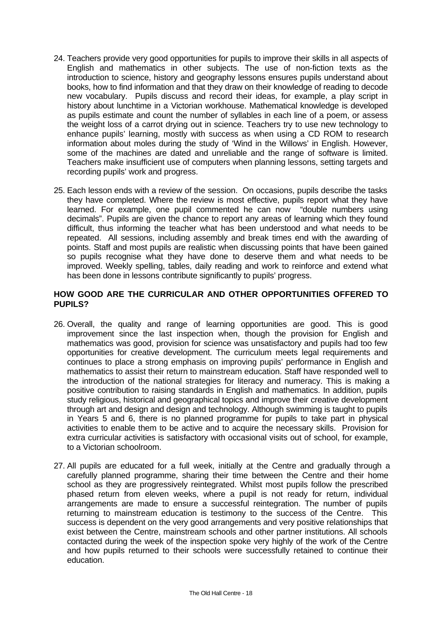- 24. Teachers provide very good opportunities for pupils to improve their skills in all aspects of English and mathematics in other subjects. The use of non-fiction texts as the introduction to science, history and geography lessons ensures pupils understand about books, how to find information and that they draw on their knowledge of reading to decode new vocabulary. Pupils discuss and record their ideas, for example, a play script in history about lunchtime in a Victorian workhouse. Mathematical knowledge is developed as pupils estimate and count the number of syllables in each line of a poem, or assess the weight loss of a carrot drying out in science. Teachers try to use new technology to enhance pupils' learning, mostly with success as when using a CD ROM to research information about moles during the study of 'Wind in the Willows' in English. However, some of the machines are dated and unreliable and the range of software is limited. Teachers make insufficient use of computers when planning lessons, setting targets and recording pupils' work and progress.
- 25. Each lesson ends with a review of the session. On occasions, pupils describe the tasks they have completed. Where the review is most effective, pupils report what they have learned. For example, one pupil commented he can now "double numbers using decimals". Pupils are given the chance to report any areas of learning which they found difficult, thus informing the teacher what has been understood and what needs to be repeated. All sessions, including assembly and break times end with the awarding of points. Staff and most pupils are realistic when discussing points that have been gained so pupils recognise what they have done to deserve them and what needs to be improved. Weekly spelling, tables, daily reading and work to reinforce and extend what has been done in lessons contribute significantly to pupils' progress.

## **HOW GOOD ARE THE CURRICULAR AND OTHER OPPORTUNITIES OFFERED TO PUPILS?**

- 26. Overall, the quality and range of learning opportunities are good. This is good improvement since the last inspection when, though the provision for English and mathematics was good, provision for science was unsatisfactory and pupils had too few opportunities for creative development. The curriculum meets legal requirements and continues to place a strong emphasis on improving pupils' performance in English and mathematics to assist their return to mainstream education. Staff have responded well to the introduction of the national strategies for literacy and numeracy. This is making a positive contribution to raising standards in English and mathematics. In addition, pupils study religious, historical and geographical topics and improve their creative development through art and design and design and technology. Although swimming is taught to pupils in Years 5 and 6, there is no planned programme for pupils to take part in physical activities to enable them to be active and to acquire the necessary skills. Provision for extra curricular activities is satisfactory with occasional visits out of school, for example, to a Victorian schoolroom.
- 27. All pupils are educated for a full week, initially at the Centre and gradually through a carefully planned programme, sharing their time between the Centre and their home school as they are progressively reintegrated. Whilst most pupils follow the prescribed phased return from eleven weeks, where a pupil is not ready for return, individual arrangements are made to ensure a successful reintegration. The number of pupils returning to mainstream education is testimony to the success of the Centre. This success is dependent on the very good arrangements and very positive relationships that exist between the Centre, mainstream schools and other partner institutions. All schools contacted during the week of the inspection spoke very highly of the work of the Centre and how pupils returned to their schools were successfully retained to continue their education.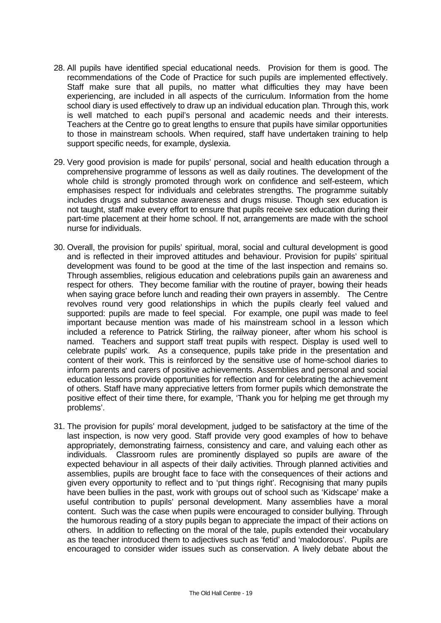- 28. All pupils have identified special educational needs. Provision for them is good. The recommendations of the Code of Practice for such pupils are implemented effectively. Staff make sure that all pupils, no matter what difficulties they may have been experiencing, are included in all aspects of the curriculum. Information from the home school diary is used effectively to draw up an individual education plan. Through this, work is well matched to each pupil's personal and academic needs and their interests. Teachers at the Centre go to great lengths to ensure that pupils have similar opportunities to those in mainstream schools. When required, staff have undertaken training to help support specific needs, for example, dyslexia.
- 29. Very good provision is made for pupils' personal, social and health education through a comprehensive programme of lessons as well as daily routines. The development of the whole child is strongly promoted through work on confidence and self-esteem, which emphasises respect for individuals and celebrates strengths. The programme suitably includes drugs and substance awareness and drugs misuse. Though sex education is not taught, staff make every effort to ensure that pupils receive sex education during their part-time placement at their home school. If not, arrangements are made with the school nurse for individuals.
- 30. Overall, the provision for pupils' spiritual, moral, social and cultural development is good and is reflected in their improved attitudes and behaviour. Provision for pupils' spiritual development was found to be good at the time of the last inspection and remains so. Through assemblies, religious education and celebrations pupils gain an awareness and respect for others. They become familiar with the routine of prayer, bowing their heads when saying grace before lunch and reading their own prayers in assembly. The Centre revolves round very good relationships in which the pupils clearly feel valued and supported: pupils are made to feel special. For example, one pupil was made to feel important because mention was made of his mainstream school in a lesson which included a reference to Patrick Stirling, the railway pioneer, after whom his school is named. Teachers and support staff treat pupils with respect. Display is used well to celebrate pupils' work. As a consequence, pupils take pride in the presentation and content of their work. This is reinforced by the sensitive use of home-school diaries to inform parents and carers of positive achievements. Assemblies and personal and social education lessons provide opportunities for reflection and for celebrating the achievement of others. Staff have many appreciative letters from former pupils which demonstrate the positive effect of their time there, for example, 'Thank you for helping me get through my problems'.
- 31. The provision for pupils' moral development, judged to be satisfactory at the time of the last inspection, is now very good. Staff provide very good examples of how to behave appropriately, demonstrating fairness, consistency and care, and valuing each other as individuals. Classroom rules are prominently displayed so pupils are aware of the expected behaviour in all aspects of their daily activities. Through planned activities and assemblies, pupils are brought face to face with the consequences of their actions and given every opportunity to reflect and to 'put things right'. Recognising that many pupils have been bullies in the past, work with groups out of school such as 'Kidscape' make a useful contribution to pupils' personal development. Many assemblies have a moral content. Such was the case when pupils were encouraged to consider bullying. Through the humorous reading of a story pupils began to appreciate the impact of their actions on others. In addition to reflecting on the moral of the tale, pupils extended their vocabulary as the teacher introduced them to adjectives such as 'fetid' and 'malodorous'. Pupils are encouraged to consider wider issues such as conservation. A lively debate about the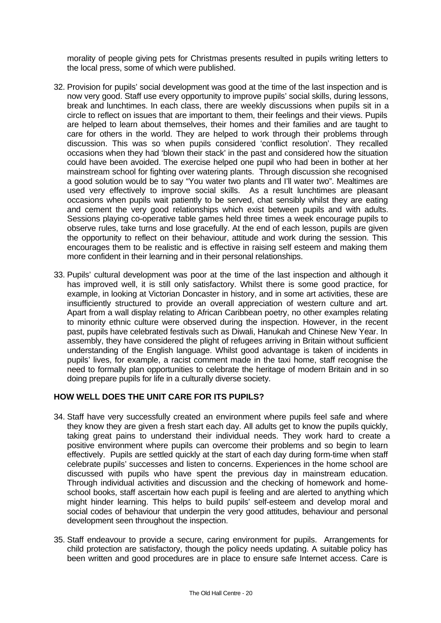morality of people giving pets for Christmas presents resulted in pupils writing letters to the local press, some of which were published.

- 32. Provision for pupils' social development was good at the time of the last inspection and is now very good. Staff use every opportunity to improve pupils' social skills, during lessons, break and lunchtimes. In each class, there are weekly discussions when pupils sit in a circle to reflect on issues that are important to them, their feelings and their views. Pupils are helped to learn about themselves, their homes and their families and are taught to care for others in the world. They are helped to work through their problems through discussion. This was so when pupils considered 'conflict resolution'. They recalled occasions when they had 'blown their stack' in the past and considered how the situation could have been avoided. The exercise helped one pupil who had been in bother at her mainstream school for fighting over watering plants. Through discussion she recognised a good solution would be to say "You water two plants and I'll water two". Mealtimes are used very effectively to improve social skills. As a result lunchtimes are pleasant occasions when pupils wait patiently to be served, chat sensibly whilst they are eating and cement the very good relationships which exist between pupils and with adults. Sessions playing co-operative table games held three times a week encourage pupils to observe rules, take turns and lose gracefully. At the end of each lesson, pupils are given the opportunity to reflect on their behaviour, attitude and work during the session. This encourages them to be realistic and is effective in raising self esteem and making them more confident in their learning and in their personal relationships.
- 33. Pupils' cultural development was poor at the time of the last inspection and although it has improved well, it is still only satisfactory. Whilst there is some good practice, for example, in looking at Victorian Doncaster in history, and in some art activities, these are insufficiently structured to provide an overall appreciation of western culture and art. Apart from a wall display relating to African Caribbean poetry, no other examples relating to minority ethnic culture were observed during the inspection. However, in the recent past, pupils have celebrated festivals such as Diwali, Hanukah and Chinese New Year. In assembly, they have considered the plight of refugees arriving in Britain without sufficient understanding of the English language. Whilst good advantage is taken of incidents in pupils' lives, for example, a racist comment made in the taxi home, staff recognise the need to formally plan opportunities to celebrate the heritage of modern Britain and in so doing prepare pupils for life in a culturally diverse society.

## **HOW WELL DOES THE UNIT CARE FOR ITS PUPILS?**

- 34. Staff have very successfully created an environment where pupils feel safe and where they know they are given a fresh start each day. All adults get to know the pupils quickly, taking great pains to understand their individual needs. They work hard to create a positive environment where pupils can overcome their problems and so begin to learn effectively. Pupils are settled quickly at the start of each day during form-time when staff celebrate pupils' successes and listen to concerns. Experiences in the home school are discussed with pupils who have spent the previous day in mainstream education. Through individual activities and discussion and the checking of homework and homeschool books, staff ascertain how each pupil is feeling and are alerted to anything which might hinder learning. This helps to build pupils' self-esteem and develop moral and social codes of behaviour that underpin the very good attitudes, behaviour and personal development seen throughout the inspection.
- 35. Staff endeavour to provide a secure, caring environment for pupils. Arrangements for child protection are satisfactory, though the policy needs updating. A suitable policy has been written and good procedures are in place to ensure safe Internet access. Care is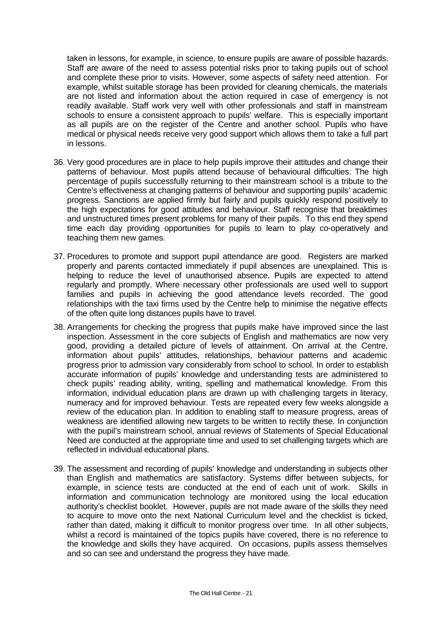taken in lessons, for example, in science, to ensure pupils are aware of possible hazards. Staff are aware of the need to assess potential risks prior to taking pupils out of school and complete these prior to visits. However, some aspects of safety need attention. For example, whilst suitable storage has been provided for cleaning chemicals, the materials are not listed and information about the action required in case of emergency is not readily available. Staff work very well with other professionals and staff in mainstream schools to ensure a consistent approach to pupils' welfare. This is especially important as all pupils are on the register of the Centre and another school. Pupils who have medical or physical needs receive very good support which allows them to take a full part in lessons.

- 36. Very good procedures are in place to help pupils improve their attitudes and change their patterns of behaviour. Most pupils attend because of behavioural difficulties. The high percentage of pupils successfully returning to their mainstream school is a tribute to the Centre's effectiveness at changing patterns of behaviour and supporting pupils' academic progress. Sanctions are applied firmly but fairly and pupils quickly respond positively to the high expectations for good attitudes and behaviour. Staff recognise that breaktimes and unstructured times present problems for many of their pupils. To this end they spend time each day providing opportunities for pupils to learn to play co-operatively and teaching them new games.
- 37. Procedures to promote and support pupil attendance are good. Registers are marked properly and parents contacted immediately if pupil absences are unexplained. This is helping to reduce the level of unauthorised absence. Pupils are expected to attend regularly and promptly. Where necessary other professionals are used well to support families and pupils in achieving the good attendance levels recorded. The good relationships with the taxi firms used by the Centre help to minimise the negative effects of the often quite long distances pupils have to travel.
- 38. Arrangements for checking the progress that pupils make have improved since the last inspection. Assessment in the core subjects of English and mathematics are now very good, providing a detailed picture of levels of attainment. On arrival at the Centre, information about pupils' attitudes, relationships, behaviour patterns and academic progress prior to admission vary considerably from school to school. In order to establish accurate information of pupils' knowledge and understanding tests are administered to check pupils' reading ability, writing, spelling and mathematical knowledge. From this information, individual education plans are drawn up with challenging targets in literacy, numeracy and for improved behaviour. Tests are repeated every few weeks alongside a review of the education plan. In addition to enabling staff to measure progress, areas of weakness are identified allowing new targets to be written to rectify these. In conjunction with the pupil's mainstream school, annual reviews of Statements of Special Educational Need are conducted at the appropriate time and used to set challenging targets which are reflected in individual educational plans.
- 39. The assessment and recording of pupils' knowledge and understanding in subjects other than English and mathematics are satisfactory. Systems differ between subjects, for example, in science tests are conducted at the end of each unit of work. Skills in information and communication technology are monitored using the local education authority's checklist booklet. However, pupils are not made aware of the skills they need to acquire to move onto the next National Curriculum level and the checklist is ticked, rather than dated, making it difficult to monitor progress over time. In all other subjects, whilst a record is maintained of the topics pupils have covered, there is no reference to the knowledge and skills they have acquired. On occasions, pupils assess themselves and so can see and understand the progress they have made.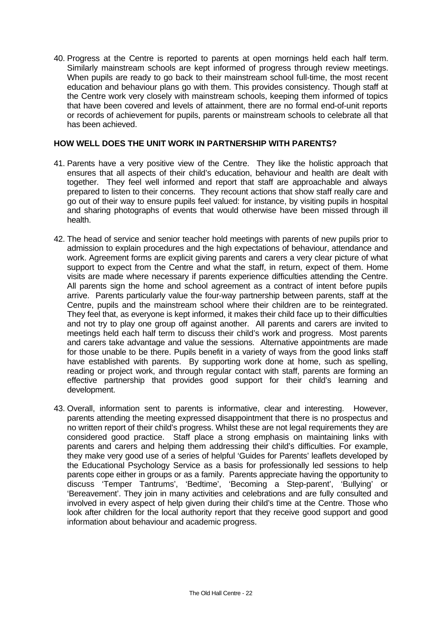40. Progress at the Centre is reported to parents at open mornings held each half term. Similarly mainstream schools are kept informed of progress through review meetings. When pupils are ready to go back to their mainstream school full-time, the most recent education and behaviour plans go with them. This provides consistency. Though staff at the Centre work very closely with mainstream schools, keeping them informed of topics that have been covered and levels of attainment, there are no formal end-of-unit reports or records of achievement for pupils, parents or mainstream schools to celebrate all that has been achieved.

## **HOW WELL DOES THE UNIT WORK IN PARTNERSHIP WITH PARENTS?**

- 41. Parents have a very positive view of the Centre. They like the holistic approach that ensures that all aspects of their child's education, behaviour and health are dealt with together. They feel well informed and report that staff are approachable and always prepared to listen to their concerns. They recount actions that show staff really care and go out of their way to ensure pupils feel valued: for instance, by visiting pupils in hospital and sharing photographs of events that would otherwise have been missed through ill health.
- 42. The head of service and senior teacher hold meetings with parents of new pupils prior to admission to explain procedures and the high expectations of behaviour, attendance and work. Agreement forms are explicit giving parents and carers a very clear picture of what support to expect from the Centre and what the staff, in return, expect of them. Home visits are made where necessary if parents experience difficulties attending the Centre. All parents sign the home and school agreement as a contract of intent before pupils arrive. Parents particularly value the four-way partnership between parents, staff at the Centre, pupils and the mainstream school where their children are to be reintegrated. They feel that, as everyone is kept informed, it makes their child face up to their difficulties and not try to play one group off against another. All parents and carers are invited to meetings held each half term to discuss their child's work and progress. Most parents and carers take advantage and value the sessions. Alternative appointments are made for those unable to be there. Pupils benefit in a variety of ways from the good links staff have established with parents. By supporting work done at home, such as spelling, reading or project work, and through regular contact with staff, parents are forming an effective partnership that provides good support for their child's learning and development.
- 43. Overall, information sent to parents is informative, clear and interesting. However, parents attending the meeting expressed disappointment that there is no prospectus and no written report of their child's progress. Whilst these are not legal requirements they are considered good practice. Staff place a strong emphasis on maintaining links with parents and carers and helping them addressing their child's difficulties. For example, they make very good use of a series of helpful 'Guides for Parents' leaflets developed by the Educational Psychology Service as a basis for professionally led sessions to help parents cope either in groups or as a family. Parents appreciate having the opportunity to discuss 'Temper Tantrums', 'Bedtime', 'Becoming a Step-parent', 'Bullying' or 'Bereavement'. They join in many activities and celebrations and are fully consulted and involved in every aspect of help given during their child's time at the Centre. Those who look after children for the local authority report that they receive good support and good information about behaviour and academic progress.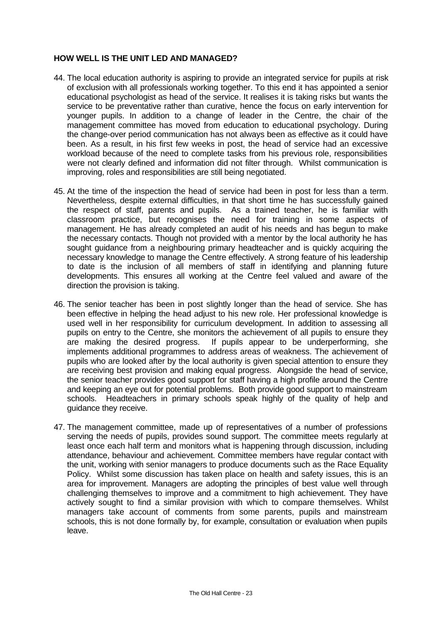## **HOW WELL IS THE UNIT LED AND MANAGED?**

- 44. The local education authority is aspiring to provide an integrated service for pupils at risk of exclusion with all professionals working together. To this end it has appointed a senior educational psychologist as head of the service. It realises it is taking risks but wants the service to be preventative rather than curative, hence the focus on early intervention for younger pupils. In addition to a change of leader in the Centre, the chair of the management committee has moved from education to educational psychology. During the change-over period communication has not always been as effective as it could have been. As a result, in his first few weeks in post, the head of service had an excessive workload because of the need to complete tasks from his previous role, responsibilities were not clearly defined and information did not filter through. Whilst communication is improving, roles and responsibilities are still being negotiated.
- 45. At the time of the inspection the head of service had been in post for less than a term. Nevertheless, despite external difficulties, in that short time he has successfully gained the respect of staff, parents and pupils. As a trained teacher, he is familiar with classroom practice, but recognises the need for training in some aspects of management. He has already completed an audit of his needs and has begun to make the necessary contacts. Though not provided with a mentor by the local authority he has sought guidance from a neighbouring primary headteacher and is quickly acquiring the necessary knowledge to manage the Centre effectively. A strong feature of his leadership to date is the inclusion of all members of staff in identifying and planning future developments. This ensures all working at the Centre feel valued and aware of the direction the provision is taking.
- 46. The senior teacher has been in post slightly longer than the head of service. She has been effective in helping the head adjust to his new role. Her professional knowledge is used well in her responsibility for curriculum development. In addition to assessing all pupils on entry to the Centre, she monitors the achievement of all pupils to ensure they are making the desired progress. If pupils appear to be underperforming, she implements additional programmes to address areas of weakness. The achievement of pupils who are looked after by the local authority is given special attention to ensure they are receiving best provision and making equal progress. Alongside the head of service, the senior teacher provides good support for staff having a high profile around the Centre and keeping an eye out for potential problems. Both provide good support to mainstream schools. Headteachers in primary schools speak highly of the quality of help and guidance they receive.
- 47. The management committee, made up of representatives of a number of professions serving the needs of pupils, provides sound support. The committee meets regularly at least once each half term and monitors what is happening through discussion, including attendance, behaviour and achievement. Committee members have regular contact with the unit, working with senior managers to produce documents such as the Race Equality Policy. Whilst some discussion has taken place on health and safety issues, this is an area for improvement. Managers are adopting the principles of best value well through challenging themselves to improve and a commitment to high achievement. They have actively sought to find a similar provision with which to compare themselves. Whilst managers take account of comments from some parents, pupils and mainstream schools, this is not done formally by, for example, consultation or evaluation when pupils leave.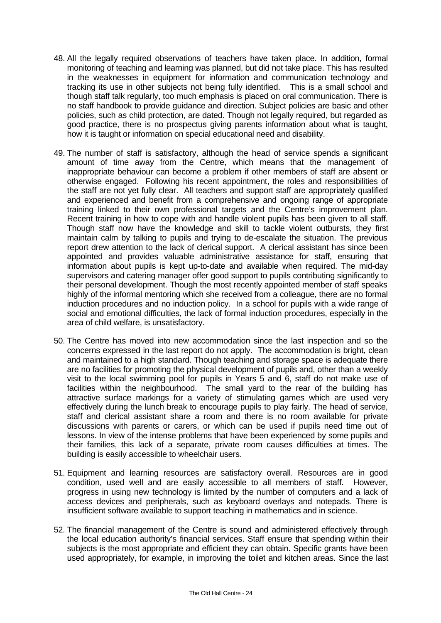- 48. All the legally required observations of teachers have taken place. In addition, formal monitoring of teaching and learning was planned, but did not take place. This has resulted in the weaknesses in equipment for information and communication technology and tracking its use in other subjects not being fully identified. This is a small school and though staff talk regularly, too much emphasis is placed on oral communication. There is no staff handbook to provide guidance and direction. Subject policies are basic and other policies, such as child protection, are dated. Though not legally required, but regarded as good practice, there is no prospectus giving parents information about what is taught, how it is taught or information on special educational need and disability.
- 49. The number of staff is satisfactory, although the head of service spends a significant amount of time away from the Centre, which means that the management of inappropriate behaviour can become a problem if other members of staff are absent or otherwise engaged. Following his recent appointment, the roles and responsibilities of the staff are not yet fully clear. All teachers and support staff are appropriately qualified and experienced and benefit from a comprehensive and ongoing range of appropriate training linked to their own professional targets and the Centre's improvement plan. Recent training in how to cope with and handle violent pupils has been given to all staff. Though staff now have the knowledge and skill to tackle violent outbursts, they first maintain calm by talking to pupils and trying to de-escalate the situation. The previous report drew attention to the lack of clerical support. A clerical assistant has since been appointed and provides valuable administrative assistance for staff, ensuring that information about pupils is kept up-to-date and available when required. The mid-day supervisors and catering manager offer good support to pupils contributing significantly to their personal development. Though the most recently appointed member of staff speaks highly of the informal mentoring which she received from a colleague, there are no formal induction procedures and no induction policy. In a school for pupils with a wide range of social and emotional difficulties, the lack of formal induction procedures, especially in the area of child welfare, is unsatisfactory.
- 50. The Centre has moved into new accommodation since the last inspection and so the concerns expressed in the last report do not apply. The accommodation is bright, clean and maintained to a high standard. Though teaching and storage space is adequate there are no facilities for promoting the physical development of pupils and, other than a weekly visit to the local swimming pool for pupils in Years 5 and 6, staff do not make use of facilities within the neighbourhood. The small yard to the rear of the building has attractive surface markings for a variety of stimulating games which are used very effectively during the lunch break to encourage pupils to play fairly. The head of service, staff and clerical assistant share a room and there is no room available for private discussions with parents or carers, or which can be used if pupils need time out of lessons. In view of the intense problems that have been experienced by some pupils and their families, this lack of a separate, private room causes difficulties at times. The building is easily accessible to wheelchair users.
- 51. Equipment and learning resources are satisfactory overall. Resources are in good condition, used well and are easily accessible to all members of staff. However, progress in using new technology is limited by the number of computers and a lack of access devices and peripherals, such as keyboard overlays and notepads. There is insufficient software available to support teaching in mathematics and in science.
- 52. The financial management of the Centre is sound and administered effectively through the local education authority's financial services. Staff ensure that spending within their subjects is the most appropriate and efficient they can obtain. Specific grants have been used appropriately, for example, in improving the toilet and kitchen areas. Since the last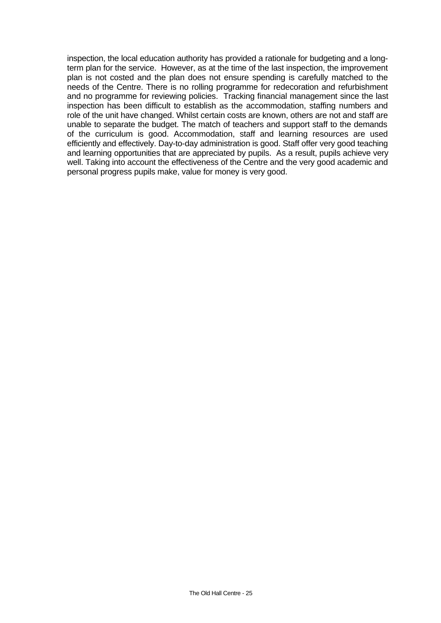inspection, the local education authority has provided a rationale for budgeting and a longterm plan for the service. However, as at the time of the last inspection, the improvement plan is not costed and the plan does not ensure spending is carefully matched to the needs of the Centre. There is no rolling programme for redecoration and refurbishment and no programme for reviewing policies. Tracking financial management since the last inspection has been difficult to establish as the accommodation, staffing numbers and role of the unit have changed. Whilst certain costs are known, others are not and staff are unable to separate the budget. The match of teachers and support staff to the demands of the curriculum is good. Accommodation, staff and learning resources are used efficiently and effectively. Day-to-day administration is good. Staff offer very good teaching and learning opportunities that are appreciated by pupils. As a result, pupils achieve very well. Taking into account the effectiveness of the Centre and the very good academic and personal progress pupils make, value for money is very good.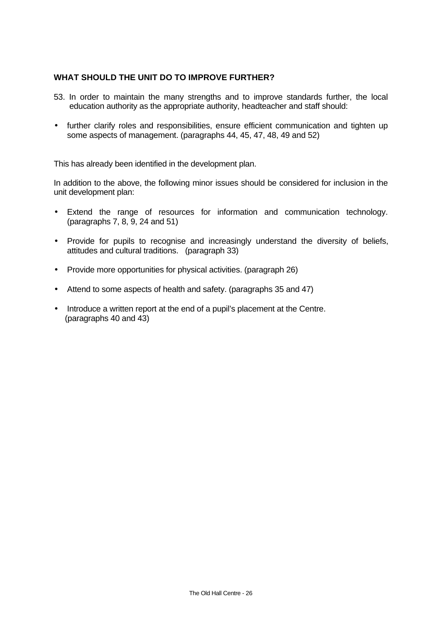## **WHAT SHOULD THE UNIT DO TO IMPROVE FURTHER?**

- 53. In order to maintain the many strengths and to improve standards further, the local education authority as the appropriate authority, headteacher and staff should:
- further clarify roles and responsibilities, ensure efficient communication and tighten up some aspects of management. (paragraphs 44, 45, 47, 48, 49 and 52)

This has already been identified in the development plan.

In addition to the above, the following minor issues should be considered for inclusion in the unit development plan:

- Extend the range of resources for information and communication technology. (paragraphs 7, 8, 9, 24 and 51)
- Provide for pupils to recognise and increasingly understand the diversity of beliefs, attitudes and cultural traditions. (paragraph 33)
- Provide more opportunities for physical activities. (paragraph 26)
- Attend to some aspects of health and safety. (paragraphs 35 and 47)
- Introduce a written report at the end of a pupil's placement at the Centre. (paragraphs 40 and 43)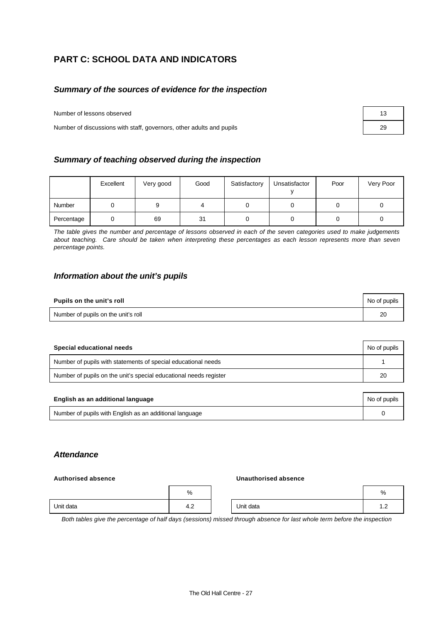# **PART C: SCHOOL DATA AND INDICATORS**

#### *Summary of the sources of evidence for the inspection*

Number of lessons observed

Number of discussions with staff, governors, other adults and pupils

| Summary of teaching observed during the inspection |  |  |  |
|----------------------------------------------------|--|--|--|
|----------------------------------------------------|--|--|--|

|            | Excellent | Very good | Good | Satisfactory | Unsatisfactor | Poor | Very Poor |
|------------|-----------|-----------|------|--------------|---------------|------|-----------|
| Number     |           |           |      |              |               |      |           |
| Percentage |           | 69        | 31   |              |               |      |           |

*The table gives the number and percentage of lessons observed in each of the seven categories used to make judgements about teaching. Care should be taken when interpreting these percentages as each lesson represents more than seven percentage points.*

#### *Information about the unit's pupils*

| Pupils on the unit's roll           | No of pupils |  |
|-------------------------------------|--------------|--|
| Number of pupils on the unit's roll | 20           |  |

| Special educational needs                                         | No of pupils |
|-------------------------------------------------------------------|--------------|
| Number of pupils with statements of special educational needs     |              |
| Number of pupils on the unit's special educational needs register | 20           |

| English as an additional language                       | No of pupils |
|---------------------------------------------------------|--------------|
| Number of pupils with English as an additional language |              |

#### *Attendance*

#### **Authorised absence Unauthorised absence**

|           | %             |           | %                        |
|-----------|---------------|-----------|--------------------------|
| Unit data | $\sim$<br>4.Z | Unit data | $\overline{\phantom{a}}$ |

*Both tables give the percentage of half days (sessions) missed through absence for last whole term before the inspection*

| 13 |  |
|----|--|
| 29 |  |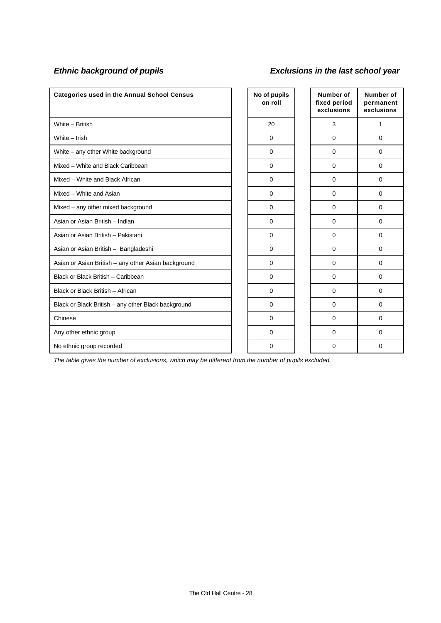# *Ethnic background of pupils Exclusions in the last school year*

| <b>Categories used in the Annual School Census</b>  | No of pupils<br>on roll | Number of<br>fixed period<br>exclusions | Number of<br>permanent<br>exclusions |
|-----------------------------------------------------|-------------------------|-----------------------------------------|--------------------------------------|
| White - British                                     | 20                      | 3                                       | 1                                    |
| White - Irish                                       | $\mathbf 0$             | 0                                       | $\Omega$                             |
| White - any other White background                  | $\mathbf 0$             | 0                                       | $\Omega$                             |
| Mixed - White and Black Caribbean                   | $\Omega$                | $\Omega$                                | $\Omega$                             |
| Mixed - White and Black African                     | $\mathbf 0$             | $\mathbf 0$                             | $\Omega$                             |
| Mixed - White and Asian                             | $\mathbf 0$             | $\Omega$                                | $\Omega$                             |
| Mixed - any other mixed background                  | $\mathbf 0$             | $\mathbf 0$                             | $\Omega$                             |
| Asian or Asian British - Indian                     | 0                       | $\mathbf 0$                             | $\Omega$                             |
| Asian or Asian British - Pakistani                  | $\mathbf 0$             | 0                                       | $\mathbf 0$                          |
| Asian or Asian British - Bangladeshi                | 0                       | 0                                       | $\Omega$                             |
| Asian or Asian British - any other Asian background | $\mathbf 0$             | 0                                       | $\Omega$                             |
| Black or Black British - Caribbean                  | $\mathbf 0$             | $\Omega$                                | $\Omega$                             |
| Black or Black British - African                    | $\Omega$                | $\Omega$                                | $\Omega$                             |
| Black or Black British - any other Black background | $\Omega$                | $\Omega$                                | $\Omega$                             |
| Chinese                                             | $\Omega$                | 0                                       | $\Omega$                             |
| Any other ethnic group                              | $\mathbf 0$             | $\Omega$                                | $\Omega$                             |
| No ethnic group recorded                            | $\mathbf 0$             | 0                                       | $\Omega$                             |

*The table gives the number of exclusions, which may be different from the number of pupils excluded.*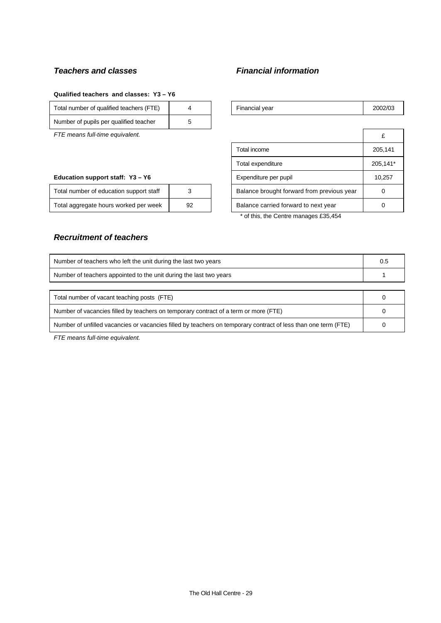# *Teachers and classes Financial information*

#### **Qualified teachers and classes: Y3 – Y6**

| Total number of qualified teachers (FTE) |  | Financial vear | 2002/03 |
|------------------------------------------|--|----------------|---------|
| Number of pupils per qualified teacher   |  |                |         |

*FTE means full-time equivalent.* 

#### **Education support staff: Y3 - Y6**

| Total number of education support staff |    | Balance brought forward from previous year |  |
|-----------------------------------------|----|--------------------------------------------|--|
| Total aggregate hours worked per week   | 92 | Balance carried forward to next year       |  |

| Financial year | 2002/03 |
|----------------|---------|
|----------------|---------|

|                                            | £        |
|--------------------------------------------|----------|
| Total income                               | 205,141  |
| Total expenditure                          | 205,141* |
| Expenditure per pupil                      | 10,257   |
| Balance brought forward from previous year |          |
| Balance carried forward to next year       |          |
|                                            |          |

\* of this, the Centre manages £35,454

#### *Recruitment of teachers*

| Number of teachers who left the unit during the last two years                                                 | 0.5 |  |  |
|----------------------------------------------------------------------------------------------------------------|-----|--|--|
| Number of teachers appointed to the unit during the last two years                                             |     |  |  |
|                                                                                                                |     |  |  |
| Total number of vacant teaching posts (FTE)                                                                    |     |  |  |
| Number of vacancies filled by teachers on temporary contract of a term or more (FTE)                           |     |  |  |
| Number of unfilled vacancies or vacancies filled by teachers on temporary contract of less than one term (FTE) |     |  |  |

*FTE means full-time equivalent.*